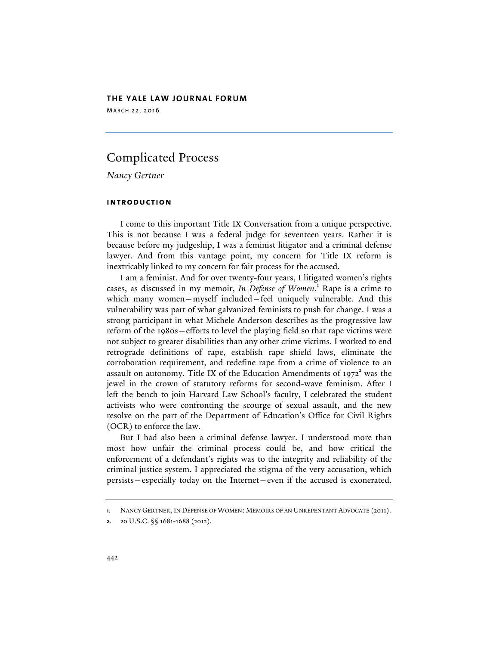# **THE YALE LAW JOURNAL FORUM**

MARCH 22, 2016

# Complicated Process

*Nancy Gertner*

# **introduction**

I come to this important Title IX Conversation from a unique perspective. This is not because I was a federal judge for seventeen years. Rather it is because before my judgeship, I was a feminist litigator and a criminal defense lawyer. And from this vantage point, my concern for Title IX reform is inextricably linked to my concern for fair process for the accused.

I am a feminist. And for over twenty-four years, I litigated women's rights cases, as discussed in my memoir, *In Defense of Women*. <sup>1</sup> Rape is a crime to which many women—myself included—feel uniquely vulnerable. And this vulnerability was part of what galvanized feminists to push for change. I was a strong participant in what Michele Anderson describes as the progressive law reform of the 1980s—efforts to level the playing field so that rape victims were not subject to greater disabilities than any other crime victims. I worked to end retrograde definitions of rape, establish rape shield laws, eliminate the corroboration requirement, and redefine rape from a crime of violence to an assault on autonomy. Title IX of the Education Amendments of  $1972^2$  was the jewel in the crown of statutory reforms for second-wave feminism. After I left the bench to join Harvard Law School's faculty, I celebrated the student activists who were confronting the scourge of sexual assault, and the new resolve on the part of the Department of Education's Office for Civil Rights (OCR) to enforce the law.

But I had also been a criminal defense lawyer. I understood more than most how unfair the criminal process could be, and how critical the enforcement of a defendant's rights was to the integrity and reliability of the criminal justice system. I appreciated the stigma of the very accusation, which persists—especially today on the Internet—even if the accused is exonerated.

**<sup>1</sup>**. NANCY GERTNER, IN DEFENSE OF WOMEN: MEMOIRS OF AN UNREPENTANT ADVOCATE (2011).

**<sup>2</sup>**. 20 U.S.C. §§ 1681-1688 (2012).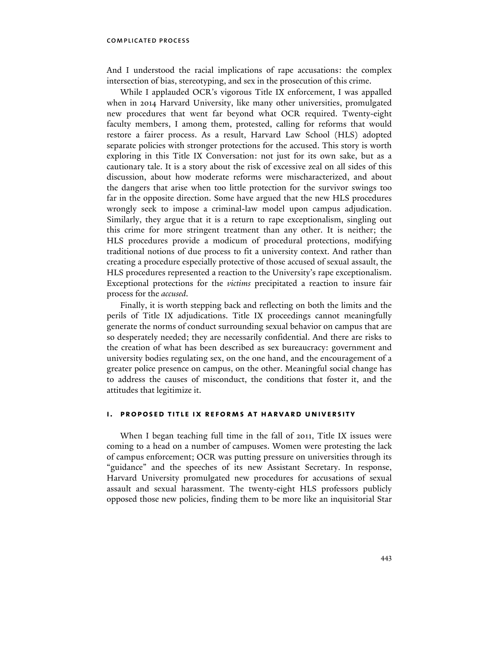And I understood the racial implications of rape accusations: the complex intersection of bias, stereotyping, and sex in the prosecution of this crime.

While I applauded OCR's vigorous Title IX enforcement, I was appalled when in 2014 Harvard University, like many other universities, promulgated new procedures that went far beyond what OCR required. Twenty-eight faculty members, I among them, protested, calling for reforms that would restore a fairer process. As a result, Harvard Law School (HLS) adopted separate policies with stronger protections for the accused. This story is worth exploring in this Title IX Conversation: not just for its own sake, but as a cautionary tale. It is a story about the risk of excessive zeal on all sides of this discussion, about how moderate reforms were mischaracterized, and about the dangers that arise when too little protection for the survivor swings too far in the opposite direction. Some have argued that the new HLS procedures wrongly seek to impose a criminal-law model upon campus adjudication. Similarly, they argue that it is a return to rape exceptionalism, singling out this crime for more stringent treatment than any other. It is neither; the HLS procedures provide a modicum of procedural protections, modifying traditional notions of due process to fit a university context. And rather than creating a procedure especially protective of those accused of sexual assault, the HLS procedures represented a reaction to the University's rape exceptionalism. Exceptional protections for the *victims* precipitated a reaction to insure fair process for the *accused*.

Finally, it is worth stepping back and reflecting on both the limits and the perils of Title IX adjudications. Title IX proceedings cannot meaningfully generate the norms of conduct surrounding sexual behavior on campus that are so desperately needed; they are necessarily confidential. And there are risks to the creation of what has been described as sex bureaucracy: government and university bodies regulating sex, on the one hand, and the encouragement of a greater police presence on campus, on the other. Meaningful social change has to address the causes of misconduct, the conditions that foster it, and the attitudes that legitimize it.

## **i. proposed title ix reforms at harvard university**

When I began teaching full time in the fall of 2011, Title IX issues were coming to a head on a number of campuses. Women were protesting the lack of campus enforcement; OCR was putting pressure on universities through its "guidance" and the speeches of its new Assistant Secretary. In response, Harvard University promulgated new procedures for accusations of sexual assault and sexual harassment. The twenty-eight HLS professors publicly opposed those new policies, finding them to be more like an inquisitorial Star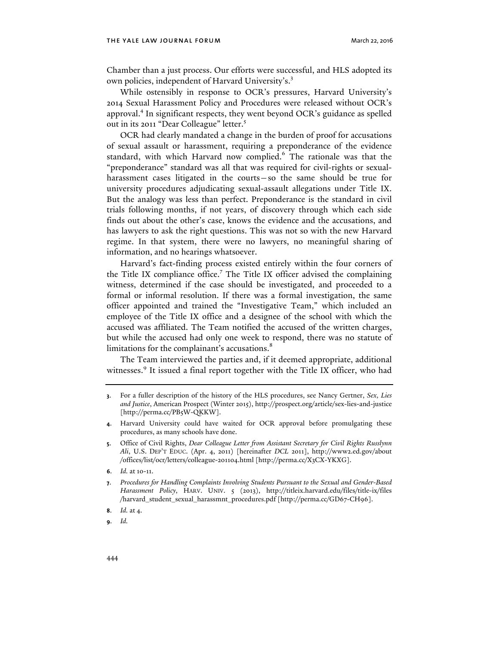Chamber than a just process. Our efforts were successful, and HLS adopted its own policies, independent of Harvard University's.<sup>3</sup>

While ostensibly in response to OCR's pressures, Harvard University's 2014 Sexual Harassment Policy and Procedures were released without OCR's approval.4 In significant respects, they went beyond OCR's guidance as spelled out in its 2011 "Dear Colleague" letter.<sup>5</sup>

OCR had clearly mandated a change in the burden of proof for accusations of sexual assault or harassment, requiring a preponderance of the evidence standard, with which Harvard now complied.<sup>6</sup> The rationale was that the "preponderance" standard was all that was required for civil-rights or sexualharassment cases litigated in the courts—so the same should be true for university procedures adjudicating sexual-assault allegations under Title IX. But the analogy was less than perfect. Preponderance is the standard in civil trials following months, if not years, of discovery through which each side finds out about the other's case, knows the evidence and the accusations, and has lawyers to ask the right questions. This was not so with the new Harvard regime. In that system, there were no lawyers, no meaningful sharing of information, and no hearings whatsoever.

Harvard's fact-finding process existed entirely within the four corners of the Title IX compliance office.<sup>7</sup> The Title IX officer advised the complaining witness, determined if the case should be investigated, and proceeded to a formal or informal resolution. If there was a formal investigation, the same officer appointed and trained the "Investigative Team," which included an employee of the Title IX office and a designee of the school with which the accused was affiliated. The Team notified the accused of the written charges, but while the accused had only one week to respond, there was no statute of limitations for the complainant's accusations.<sup>8</sup>

The Team interviewed the parties and, if it deemed appropriate, additional witnesses.<sup>9</sup> It issued a final report together with the Title IX officer, who had

**<sup>3</sup>**. For a fuller description of the history of the HLS procedures, see Nancy Gertner, *Sex, Lies and Justice*, American Prospect (Winter 2015), http://prospect.org/article/sex-lies-and-justice [http://perma.cc/PB5W-QKKW].

**<sup>4</sup>**. Harvard University could have waited for OCR approval before promulgating these procedures, as many schools have done.

**<sup>5</sup>**. Office of Civil Rights, *Dear Colleague Letter from Assistant Secretary for Civil Rights Russlynn Ali*, U.S. DEP'T EDUC. (Apr. 4, 2011) [hereinafter *DCL* 2011], http://www2.ed.gov/about /offices/list/ocr/letters/colleague-201104.html [http://perma.cc/X3CX-YKXG].

**<sup>6</sup>**. *Id.* at 10-11.

**<sup>7</sup>**. *Procedures for Handling Complaints Involving Students Pursuant to the Sexual and Gender-Based Harassment Policy*, HARV. UNIV. 5 (2013), http://titleix.harvard.edu/files/title-ix/files /harvard\_student\_sexual\_harassmnt\_procedures.pdf [http://perma.cc/GD67-CH96].

**<sup>8</sup>**. *Id.* at 4.

**<sup>9</sup>**. *Id.*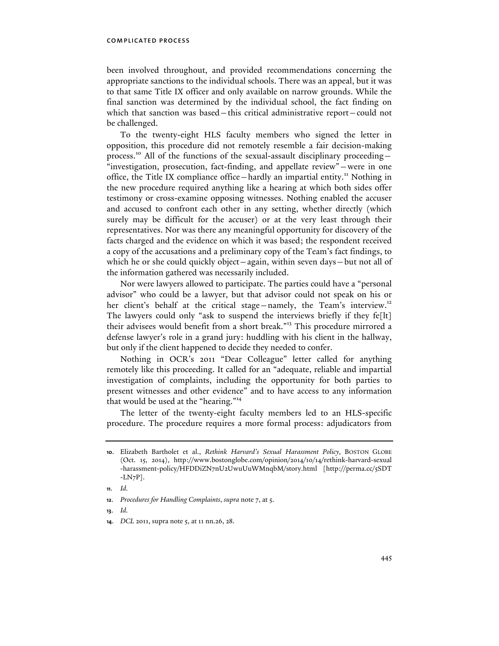been involved throughout, and provided recommendations concerning the appropriate sanctions to the individual schools. There was an appeal, but it was to that same Title IX officer and only available on narrow grounds. While the final sanction was determined by the individual school, the fact finding on which that sanction was based—this critical administrative report—could not be challenged.

To the twenty-eight HLS faculty members who signed the letter in opposition, this procedure did not remotely resemble a fair decision-making process.<sup>10</sup> All of the functions of the sexual-assault disciplinary proceeding -"investigation, prosecution, fact-finding, and appellate review"—were in one office, the Title IX compliance office-hardly an impartial entity.<sup>11</sup> Nothing in the new procedure required anything like a hearing at which both sides offer testimony or cross-examine opposing witnesses. Nothing enabled the accuser and accused to confront each other in any setting, whether directly (which surely may be difficult for the accuser) or at the very least through their representatives. Nor was there any meaningful opportunity for discovery of the facts charged and the evidence on which it was based; the respondent received a copy of the accusations and a preliminary copy of the Team's fact findings, to which he or she could quickly object—again, within seven days—but not all of the information gathered was necessarily included.

Nor were lawyers allowed to participate. The parties could have a "personal advisor" who could be a lawyer, but that advisor could not speak on his or her client's behalf at the critical stage—namely, the Team's interview.<sup>12</sup> The lawyers could only "ask to suspend the interviews briefly if they fe[lt] their advisees would benefit from a short break." <sup>13</sup> This procedure mirrored a defense lawyer's role in a grand jury: huddling with his client in the hallway, but only if the client happened to decide they needed to confer.

Nothing in OCR's 2011 "Dear Colleague" letter called for anything remotely like this proceeding. It called for an "adequate, reliable and impartial investigation of complaints, including the opportunity for both parties to present witnesses and other evidence" and to have access to any information that would be used at the "hearing."<sup>14</sup>

The letter of the twenty-eight faculty members led to an HLS-specific procedure. The procedure requires a more formal process: adjudicators from

**<sup>10</sup>**. Elizabeth Bartholet et al., *Rethink Harvard's Sexual Harassment Policy*, BOSTON GLOBE (Oct. 15, 2014), http://www.bostonglobe.com/opinion/2014/10/14/rethink-harvard-sexual -harassment-policy/HFDDiZN7nU2UwuUuWMnqbM/story.html [http://perma.cc/5SDT  $-LN7P$ ].

**<sup>11</sup>**. *Id.*

**<sup>12</sup>**. *Procedures for Handling Complaints*, *supra* note 7, at 5.

**<sup>13</sup>**. *Id.*

**<sup>14</sup>**. *DCL* 2011, supra note 5, at 11 nn.26, 28.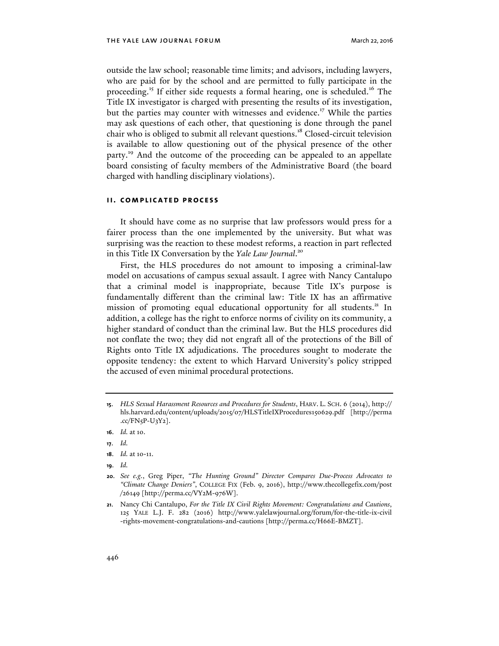outside the law school; reasonable time limits; and advisors, including lawyers, who are paid for by the school and are permitted to fully participate in the proceeding.<sup>15</sup> If either side requests a formal hearing, one is scheduled.<sup>16</sup> The Title IX investigator is charged with presenting the results of its investigation, but the parties may counter with witnesses and evidence.<sup>17</sup> While the parties may ask questions of each other, that questioning is done through the panel chair who is obliged to submit all relevant questions.<sup>18</sup> Closed-circuit television is available to allow questioning out of the physical presence of the other party.<sup>19</sup> And the outcome of the proceeding can be appealed to an appellate board consisting of faculty members of the Administrative Board (the board charged with handling disciplinary violations).

### **ii. complicated process**

It should have come as no surprise that law professors would press for a fairer process than the one implemented by the university. But what was surprising was the reaction to these modest reforms, a reaction in part reflected in this Title IX Conversation by the *Yale Law Journal*. 20

First, the HLS procedures do not amount to imposing a criminal-law model on accusations of campus sexual assault. I agree with Nancy Cantalupo that a criminal model is inappropriate, because Title IX's purpose is fundamentally different than the criminal law: Title IX has an affirmative mission of promoting equal educational opportunity for all students.<sup>21</sup> In addition, a college has the right to enforce norms of civility on its community, a higher standard of conduct than the criminal law. But the HLS procedures did not conflate the two; they did not engraft all of the protections of the Bill of Rights onto Title IX adjudications. The procedures sought to moderate the opposite tendency: the extent to which Harvard University's policy stripped the accused of even minimal procedural protections.

**19**. *Id.* 

**<sup>15</sup>**. *HLS Sexual Harassment Resources and Procedures for Students*, HARV. L. SCH. 6 (2014), http:// hls.harvard.edu/content/uploads/2015/07/HLSTitleIXProcedures150629.pdf [http://perma  $cc/FN<sub>5</sub>P-U<sub>3</sub>Y<sub>2</sub>$ .

**<sup>16</sup>**. *Id.* at 10.

**<sup>17</sup>**. *Id.*

**<sup>18</sup>**. *Id.* at 10-11.

**<sup>20</sup>**. *See e.g.*, Greg Piper, *"The Hunting Ground" Director Compares Due-Process Advocates to "Climate Change Deniers"*, COLLEGE FIX (Feb. 9, 2016), http://www.thecollegefix.com/post /26149 [http://perma.cc/VY2M-976W].

**<sup>21</sup>**. Nancy Chi Cantalupo, *For the Title IX Civil Rights Movement: Congratulations and Cautions*, 125 YALE L.J. F. 282 (2016) http://www.yalelawjournal.org/forum/for-the-title-ix-civil -rights-movement-congratulations-and-cautions [http://perma.cc/H66E-BMZT].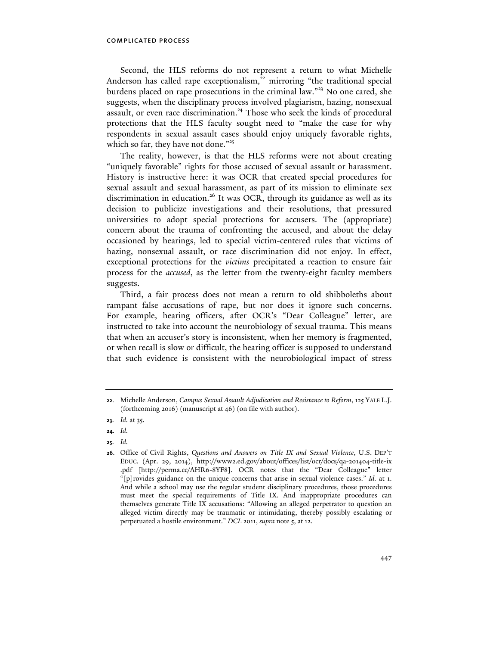Second, the HLS reforms do not represent a return to what Michelle Anderson has called rape exceptionalism,<sup>22</sup> mirroring "the traditional special burdens placed on rape prosecutions in the criminal law." <sup>23</sup> No one cared, she suggests, when the disciplinary process involved plagiarism, hazing, nonsexual assault, or even race discrimination.<sup>24</sup> Those who seek the kinds of procedural protections that the HLS faculty sought need to "make the case for why respondents in sexual assault cases should enjoy uniquely favorable rights, which so far, they have not done."<sup>25</sup>

The reality, however, is that the HLS reforms were not about creating "uniquely favorable" rights for those accused of sexual assault or harassment. History is instructive here: it was OCR that created special procedures for sexual assault and sexual harassment, as part of its mission to eliminate sex discrimination in education.<sup>26</sup> It was OCR, through its guidance as well as its decision to publicize investigations and their resolutions, that pressured universities to adopt special protections for accusers. The (appropriate) concern about the trauma of confronting the accused, and about the delay occasioned by hearings, led to special victim-centered rules that victims of hazing, nonsexual assault, or race discrimination did not enjoy. In effect, exceptional protections for the *victims* precipitated a reaction to ensure fair process for the *accused*, as the letter from the twenty-eight faculty members suggests.

Third, a fair process does not mean a return to old shibboleths about rampant false accusations of rape, but nor does it ignore such concerns. For example, hearing officers, after OCR's "Dear Colleague" letter, are instructed to take into account the neurobiology of sexual trauma. This means that when an accuser's story is inconsistent, when her memory is fragmented, or when recall is slow or difficult, the hearing officer is supposed to understand that such evidence is consistent with the neurobiological impact of stress

- **24**. *Id.*
- **25**. *Id.*

**<sup>22</sup>**. Michelle Anderson, *Campus Sexual Assault Adjudication and Resistance to Reform*, 125 YALE L.J. (forthcoming 2016) (manuscript at 46) (on file with author).

**<sup>23</sup>**. *Id.* at 35.

**<sup>26</sup>**. Office of Civil Rights, *Questions and Answers on Title IX and Sexual Violence*, U.S. DEP'T EDUC. (Apr. 29, 2014), http://www2.ed.gov/about/offices/list/ocr/docs/qa-201404-title-ix .pdf [http://perma.cc/AHR6-8YF8]. OCR notes that the "Dear Colleague" letter "[p]rovides guidance on the unique concerns that arise in sexual violence cases." *Id.* at 1. And while a school may use the regular student disciplinary procedures, those procedures must meet the special requirements of Title IX. And inappropriate procedures can themselves generate Title IX accusations: "Allowing an alleged perpetrator to question an alleged victim directly may be traumatic or intimidating, thereby possibly escalating or perpetuated a hostile environment." *DCL* 2011, *supra* note 5, at 12.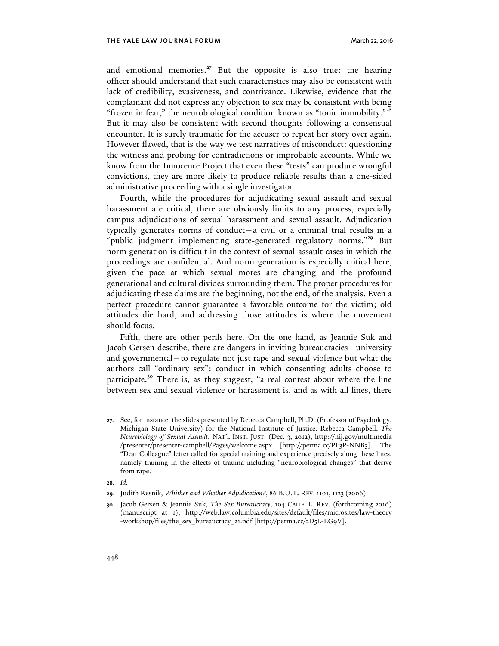and emotional memories.<sup>27</sup> But the opposite is also true: the hearing officer should understand that such characteristics may also be consistent with lack of credibility, evasiveness, and contrivance. Likewise, evidence that the complainant did not express any objection to sex may be consistent with being "frozen in fear," the neurobiological condition known as "tonic immobility." $^{\overline{x^8}}$ But it may also be consistent with second thoughts following a consensual encounter. It is surely traumatic for the accuser to repeat her story over again. However flawed, that is the way we test narratives of misconduct: questioning the witness and probing for contradictions or improbable accounts. While we know from the Innocence Project that even these "tests" can produce wrongful convictions, they are more likely to produce reliable results than a one-sided administrative proceeding with a single investigator.

Fourth, while the procedures for adjudicating sexual assault and sexual harassment are critical, there are obviously limits to any process, especially campus adjudications of sexual harassment and sexual assault. Adjudication typically generates norms of conduct—a civil or a criminal trial results in a "public judgment implementing state-generated regulatory norms."<sup>29</sup> But norm generation is difficult in the context of sexual-assault cases in which the proceedings are confidential. And norm generation is especially critical here, given the pace at which sexual mores are changing and the profound generational and cultural divides surrounding them. The proper procedures for adjudicating these claims are the beginning, not the end, of the analysis. Even a perfect procedure cannot guarantee a favorable outcome for the victim; old attitudes die hard, and addressing those attitudes is where the movement should focus.

Fifth, there are other perils here. On the one hand, as Jeannie Suk and Jacob Gersen describe, there are dangers in inviting bureaucracies—university and governmental—to regulate not just rape and sexual violence but what the authors call "ordinary sex": conduct in which consenting adults choose to participate.<sup>30</sup> There is, as they suggest, "a real contest about where the line between sex and sexual violence or harassment is, and as with all lines, there

**28**. *Id.*

**<sup>27</sup>**. See, for instance, the slides presented by Rebecca Campbell, Ph.D. (Professor of Psychology, Michigan State University) for the National Institute of Justice. Rebecca Campbell, *The Neurobiology of Sexual Assault*, NAT'L INST. JUST. (Dec. 3, 2012), http://nij.gov/multimedia /presenter/presenter-campbell/Pages/welcome.aspx [http://perma.cc/PL3P-NNB3]. The "Dear Colleague" letter called for special training and experience precisely along these lines, namely training in the effects of trauma including "neurobiological changes" that derive from rape.

**<sup>29</sup>**. Judith Resnik, *Whither and Whether Adjudication?*, 86 B.U. L. REV. 1101, 1123 (2006).

**<sup>30</sup>**. Jacob Gersen & Jeannie Suk, *The Sex Bureaucracy*, 104 CALIF. L. REV. (forthcoming 2016) (manuscript at 1), http://web.law.columbia.edu/sites/default/files/microsites/law-theory -workshop/files/the\_sex\_bureaucracy\_21.pdf [http://perma.cc/2D5L-EG9V].